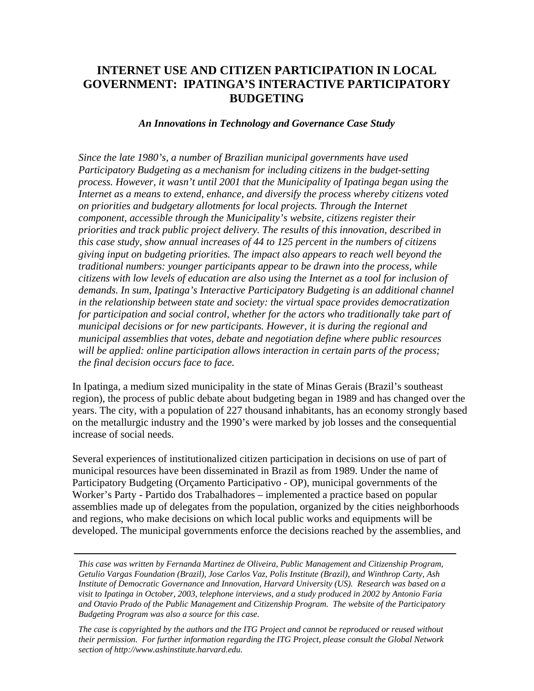# **INTERNET USE AND CITIZEN PARTICIPATION IN LOCAL GOVERNMENT: IPATINGA'S INTERACTIVE PARTICIPATORY BUDGETING**

#### *An Innovations in Technology and Governance Case Study*

*Since the late 1980's, a number of Brazilian municipal governments have used Participatory Budgeting as a mechanism for including citizens in the budget-setting process. However, it wasn't until 2001 that the Municipality of Ipatinga began using the Internet as a means to extend, enhance, and diversify the process whereby citizens voted on priorities and budgetary allotments for local projects. Through the Internet component, accessible through the Municipality's website, citizens register their priorities and track public project delivery. The results of this innovation, described in this case study, show annual increases of 44 to 125 percent in the numbers of citizens giving input on budgeting priorities. The impact also appears to reach well beyond the traditional numbers: younger participants appear to be drawn into the process, while citizens with low levels of education are also using the Internet as a tool for inclusion of demands. In sum, Ipatinga's Interactive Participatory Budgeting is an additional channel in the relationship between state and society: the virtual space provides democratization for participation and social control, whether for the actors who traditionally take part of municipal decisions or for new participants. However, it is during the regional and municipal assemblies that votes, debate and negotiation define where public resources will be applied: online participation allows interaction in certain parts of the process; the final decision occurs face to face.* 

In Ipatinga, a medium sized municipality in the state of Minas Gerais (Brazil's southeast region), the process of public debate about budgeting began in 1989 and has changed over the years. The city, with a population of 227 thousand inhabitants, has an economy strongly based on the metallurgic industry and the 1990's were marked by job losses and the consequential increase of social needs.

Several experiences of institutionalized citizen participation in decisions on use of part of municipal resources have been disseminated in Brazil as from 1989. Under the name of Participatory Budgeting (Orçamento Participativo - OP), municipal governments of the Worker's Party - Partido dos Trabalhadores – implemented a practice based on popular assemblies made up of delegates from the population, organized by the cities neighborhoods and regions, who make decisions on which local public works and equipments will be developed. The municipal governments enforce the decisions reached by the assemblies, and

*This case was written by Fernanda Martinez de Oliveira, Public Management and Citizenship Program, Getulio Vargas Foundation (Brazil), Jose Carlos Vaz, Polis Institute (Brazil), and Winthrop Carty, Ash Institute of Democratic Governance and Innovation, Harvard University (US). Research was based on a visit to Ipatinga in October, 2003, telephone interviews, and a study produced in 2002 by Antonio Faria and Otavio Prado of the Public Management and Citizenship Program. The website of the Participatory Budgeting Program was also a source for this case.* 

*The case is copyrighted by the authors and the ITG Project and cannot be reproduced or reused without their permission. For further information regarding the ITG Project, please consult the Global Network section of http://www.ashinstitute.harvard.edu.*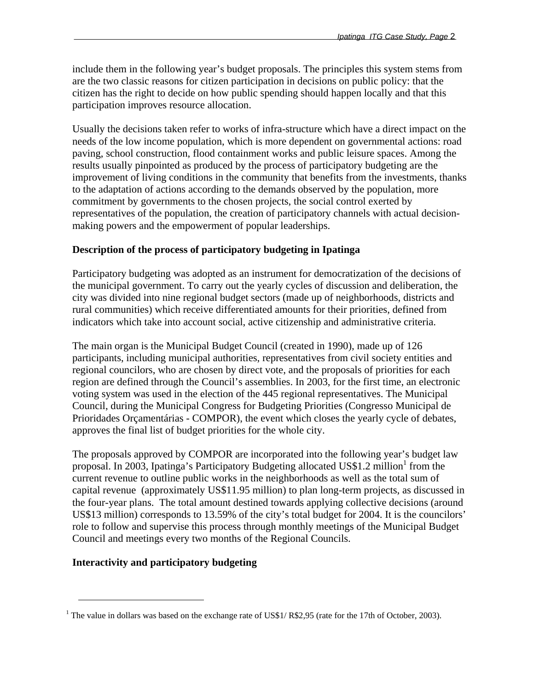include them in the following year's budget proposals. The principles this system stems from are the two classic reasons for citizen participation in decisions on public policy: that the citizen has the right to decide on how public spending should happen locally and that this participation improves resource allocation.

Usually the decisions taken refer to works of infra-structure which have a direct impact on the needs of the low income population, which is more dependent on governmental actions: road paving, school construction, flood containment works and public leisure spaces. Among the results usually pinpointed as produced by the process of participatory budgeting are the improvement of living conditions in the community that benefits from the investments, thanks to the adaptation of actions according to the demands observed by the population, more commitment by governments to the chosen projects, the social control exerted by representatives of the population, the creation of participatory channels with actual decisionmaking powers and the empowerment of popular leaderships.

### **Description of the process of participatory budgeting in Ipatinga**

Participatory budgeting was adopted as an instrument for democratization of the decisions of the municipal government. To carry out the yearly cycles of discussion and deliberation, the city was divided into nine regional budget sectors (made up of neighborhoods, districts and rural communities) which receive differentiated amounts for their priorities, defined from indicators which take into account social, active citizenship and administrative criteria.

The main organ is the Municipal Budget Council (created in 1990), made up of 126 participants, including municipal authorities, representatives from civil society entities and regional councilors, who are chosen by direct vote, and the proposals of priorities for each region are defined through the Council's assemblies. In 2003, for the first time, an electronic voting system was used in the election of the 445 regional representatives. The Municipal Council, during the Municipal Congress for Budgeting Priorities (Congresso Municipal de Prioridades Orçamentárias - COMPOR), the event which closes the yearly cycle of debates, approves the final list of budget priorities for the whole city.

The proposals approved by COMPOR are incorporated into the following year's budget law proposal. In 2003, Ipatinga's Participatory Budgeting allocated US\$[1](#page-1-0).2 million<sup>1</sup> from the current revenue to outline public works in the neighborhoods as well as the total sum of capital revenue (approximately US\$11.95 million) to plan long-term projects, as discussed in the four-year plans. The total amount destined towards applying collective decisions (around US\$13 million) corresponds to 13.59% of the city's total budget for 2004. It is the councilors' role to follow and supervise this process through monthly meetings of the Municipal Budget Council and meetings every two months of the Regional Councils.

### **Interactivity and participatory budgeting**

 $\overline{a}$ 

<span id="page-1-0"></span><sup>&</sup>lt;sup>1</sup> The value in dollars was based on the exchange rate of US\$1/ R\$2,95 (rate for the 17th of October, 2003).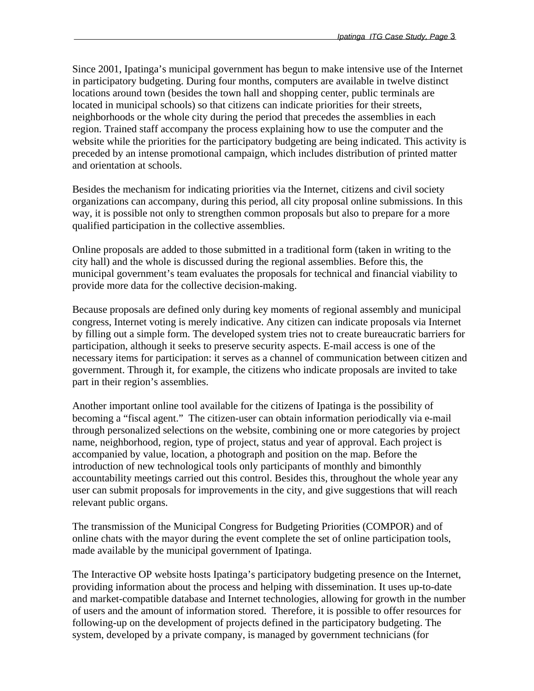Since 2001, Ipatinga's municipal government has begun to make intensive use of the Internet in participatory budgeting. During four months, computers are available in twelve distinct locations around town (besides the town hall and shopping center, public terminals are located in municipal schools) so that citizens can indicate priorities for their streets, neighborhoods or the whole city during the period that precedes the assemblies in each region. Trained staff accompany the process explaining how to use the computer and the website while the priorities for the participatory budgeting are being indicated. This activity is preceded by an intense promotional campaign, which includes distribution of printed matter and orientation at schools.

Besides the mechanism for indicating priorities via the Internet, citizens and civil society organizations can accompany, during this period, all city proposal online submissions. In this way, it is possible not only to strengthen common proposals but also to prepare for a more qualified participation in the collective assemblies.

Online proposals are added to those submitted in a traditional form (taken in writing to the city hall) and the whole is discussed during the regional assemblies. Before this, the municipal government's team evaluates the proposals for technical and financial viability to provide more data for the collective decision-making.

Because proposals are defined only during key moments of regional assembly and municipal congress, Internet voting is merely indicative. Any citizen can indicate proposals via Internet by filling out a simple form. The developed system tries not to create bureaucratic barriers for participation, although it seeks to preserve security aspects. E-mail access is one of the necessary items for participation: it serves as a channel of communication between citizen and government. Through it, for example, the citizens who indicate proposals are invited to take part in their region's assemblies.

Another important online tool available for the citizens of Ipatinga is the possibility of becoming a "fiscal agent." The citizen-user can obtain information periodically via e-mail through personalized selections on the website, combining one or more categories by project name, neighborhood, region, type of project, status and year of approval. Each project is accompanied by value, location, a photograph and position on the map. Before the introduction of new technological tools only participants of monthly and bimonthly accountability meetings carried out this control. Besides this, throughout the whole year any user can submit proposals for improvements in the city, and give suggestions that will reach relevant public organs.

The transmission of the Municipal Congress for Budgeting Priorities (COMPOR) and of online chats with the mayor during the event complete the set of online participation tools, made available by the municipal government of Ipatinga.

The Interactive OP website hosts Ipatinga's participatory budgeting presence on the Internet, providing information about the process and helping with dissemination. It uses up-to-date and market-compatible database and Internet technologies, allowing for growth in the number of users and the amount of information stored. Therefore, it is possible to offer resources for following-up on the development of projects defined in the participatory budgeting. The system, developed by a private company, is managed by government technicians (for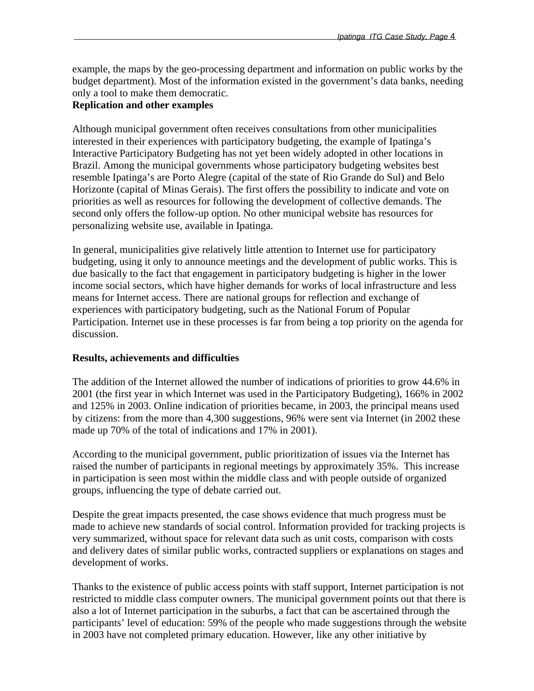example, the maps by the geo-processing department and information on public works by the budget department). Most of the information existed in the government's data banks, needing only a tool to make them democratic.

## **Replication and other examples**

Although municipal government often receives consultations from other municipalities interested in their experiences with participatory budgeting, the example of Ipatinga's Interactive Participatory Budgeting has not yet been widely adopted in other locations in Brazil. Among the municipal governments whose participatory budgeting websites best resemble Ipatinga's are Porto Alegre (capital of the state of Rio Grande do Sul) and Belo Horizonte (capital of Minas Gerais). The first offers the possibility to indicate and vote on priorities as well as resources for following the development of collective demands. The second only offers the follow-up option. No other municipal website has resources for personalizing website use, available in Ipatinga.

In general, municipalities give relatively little attention to Internet use for participatory budgeting, using it only to announce meetings and the development of public works. This is due basically to the fact that engagement in participatory budgeting is higher in the lower income social sectors, which have higher demands for works of local infrastructure and less means for Internet access. There are national groups for reflection and exchange of experiences with participatory budgeting, such as the National Forum of Popular Participation. Internet use in these processes is far from being a top priority on the agenda for discussion.

### **Results, achievements and difficulties**

The addition of the Internet allowed the number of indications of priorities to grow 44.6% in 2001 (the first year in which Internet was used in the Participatory Budgeting), 166% in 2002 and 125% in 2003. Online indication of priorities became, in 2003, the principal means used by citizens: from the more than 4,300 suggestions, 96% were sent via Internet (in 2002 these made up 70% of the total of indications and 17% in 2001).

According to the municipal government, public prioritization of issues via the Internet has raised the number of participants in regional meetings by approximately 35%. This increase in participation is seen most within the middle class and with people outside of organized groups, influencing the type of debate carried out.

Despite the great impacts presented, the case shows evidence that much progress must be made to achieve new standards of social control. Information provided for tracking projects is very summarized, without space for relevant data such as unit costs, comparison with costs and delivery dates of similar public works, contracted suppliers or explanations on stages and development of works.

Thanks to the existence of public access points with staff support, Internet participation is not restricted to middle class computer owners. The municipal government points out that there is also a lot of Internet participation in the suburbs, a fact that can be ascertained through the participants' level of education: 59% of the people who made suggestions through the website in 2003 have not completed primary education. However, like any other initiative by